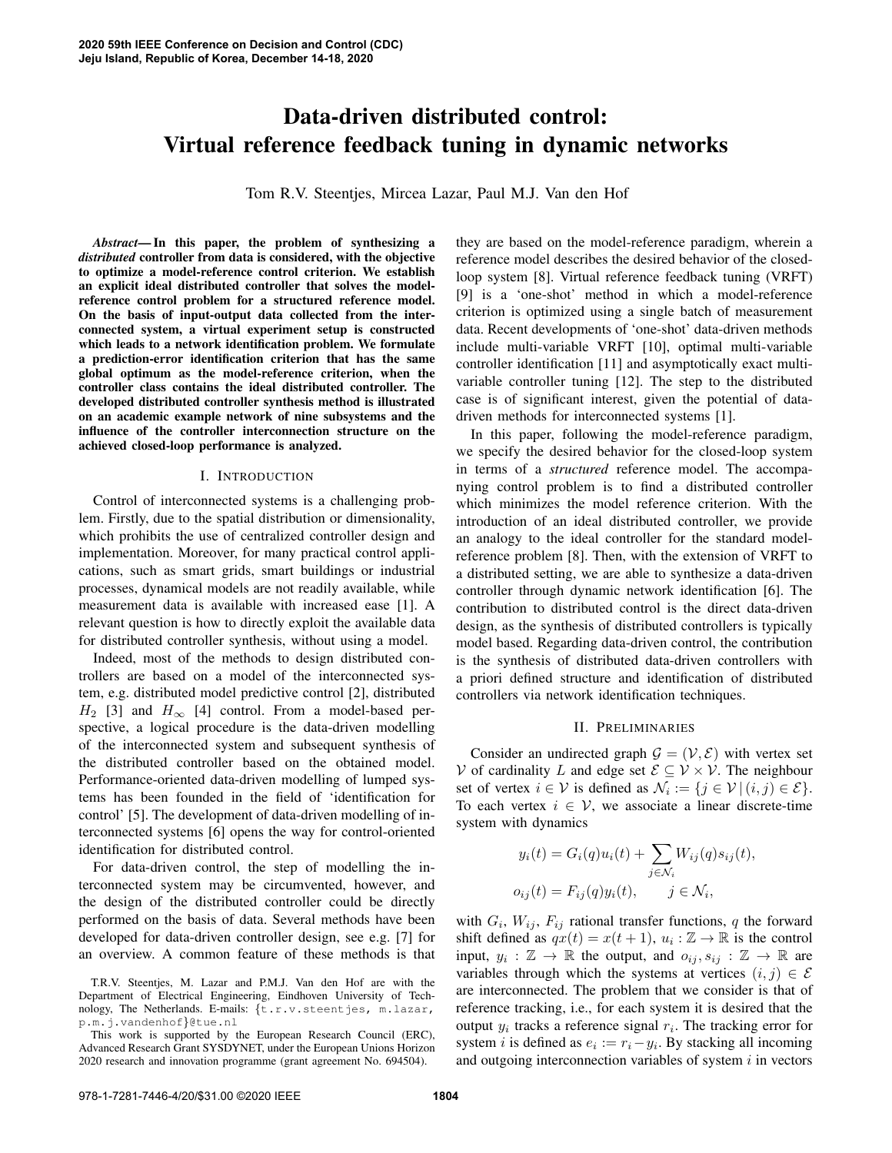# Data-driven distributed control: Virtual reference feedback tuning in dynamic networks

Tom R.V. Steentjes, Mircea Lazar, Paul M.J. Van den Hof

*Abstract*— In this paper, the problem of synthesizing a *distributed* controller from data is considered, with the objective to optimize a model-reference control criterion. We establish an explicit ideal distributed controller that solves the modelreference control problem for a structured reference model. On the basis of input-output data collected from the interconnected system, a virtual experiment setup is constructed which leads to a network identification problem. We formulate a prediction-error identification criterion that has the same global optimum as the model-reference criterion, when the controller class contains the ideal distributed controller. The developed distributed controller synthesis method is illustrated on an academic example network of nine subsystems and the influence of the controller interconnection structure on the achieved closed-loop performance is analyzed.

#### I. INTRODUCTION

Control of interconnected systems is a challenging problem. Firstly, due to the spatial distribution or dimensionality, which prohibits the use of centralized controller design and implementation. Moreover, for many practical control applications, such as smart grids, smart buildings or industrial processes, dynamical models are not readily available, while measurement data is available with increased ease [1]. A relevant question is how to directly exploit the available data for distributed controller synthesis, without using a model.

Indeed, most of the methods to design distributed controllers are based on a model of the interconnected system, e.g. distributed model predictive control [2], distributed  $H_2$  [3] and  $H_{\infty}$  [4] control. From a model-based perspective, a logical procedure is the data-driven modelling of the interconnected system and subsequent synthesis of the distributed controller based on the obtained model. Performance-oriented data-driven modelling of lumped systems has been founded in the field of 'identification for control' [5]. The development of data-driven modelling of interconnected systems [6] opens the way for control-oriented identification for distributed control.

For data-driven control, the step of modelling the interconnected system may be circumvented, however, and the design of the distributed controller could be directly performed on the basis of data. Several methods have been developed for data-driven controller design, see e.g. [7] for an overview. A common feature of these methods is that

they are based on the model-reference paradigm, wherein a reference model describes the desired behavior of the closedloop system [8]. Virtual reference feedback tuning (VRFT) [9] is a 'one-shot' method in which a model-reference criterion is optimized using a single batch of measurement data. Recent developments of 'one-shot' data-driven methods include multi-variable VRFT [10], optimal multi-variable controller identification [11] and asymptotically exact multivariable controller tuning [12]. The step to the distributed case is of significant interest, given the potential of datadriven methods for interconnected systems [1].

In this paper, following the model-reference paradigm, we specify the desired behavior for the closed-loop system in terms of a *structured* reference model. The accompanying control problem is to find a distributed controller which minimizes the model reference criterion. With the introduction of an ideal distributed controller, we provide an analogy to the ideal controller for the standard modelreference problem [8]. Then, with the extension of VRFT to a distributed setting, we are able to synthesize a data-driven controller through dynamic network identification [6]. The contribution to distributed control is the direct data-driven design, as the synthesis of distributed controllers is typically model based. Regarding data-driven control, the contribution is the synthesis of distributed data-driven controllers with a priori defined structure and identification of distributed controllers via network identification techniques.

## II. PRELIMINARIES

Consider an undirected graph  $\mathcal{G} = (\mathcal{V}, \mathcal{E})$  with vertex set V of cardinality L and edge set  $\mathcal{E} \subseteq \mathcal{V} \times \mathcal{V}$ . The neighbour set of vertex  $i \in V$  is defined as  $\mathcal{N}_i := \{j \in V \mid (i, j) \in \mathcal{E}\}.$ To each vertex  $i \in V$ , we associate a linear discrete-time system with dynamics

$$
y_i(t) = G_i(q)u_i(t) + \sum_{j \in \mathcal{N}_i} W_{ij}(q)s_{ij}(t),
$$
  

$$
o_{ij}(t) = F_{ij}(q)y_i(t), \qquad j \in \mathcal{N}_i,
$$

with  $G_i$ ,  $W_{ij}$ ,  $F_{ij}$  rational transfer functions, q the forward shift defined as  $qx(t) = x(t+1), u_i : \mathbb{Z} \to \mathbb{R}$  is the control input,  $y_i : \mathbb{Z} \to \mathbb{R}$  the output, and  $o_{ij}, s_{ij} : \mathbb{Z} \to \mathbb{R}$  are variables through which the systems at vertices  $(i, j) \in \mathcal{E}$ are interconnected. The problem that we consider is that of reference tracking, i.e., for each system it is desired that the output  $y_i$  tracks a reference signal  $r_i$ . The tracking error for system *i* is defined as  $e_i := r_i - y_i$ . By stacking all incoming and outgoing interconnection variables of system  $i$  in vectors

T.R.V. Steentjes, M. Lazar and P.M.J. Van den Hof are with the Department of Electrical Engineering, Eindhoven University of Technology, The Netherlands. E-mails: {t.r.v.steentjes, m.lazar, p.m.j.vandenhof}@tue.nl

This work is supported by the European Research Council (ERC), Advanced Research Grant SYSDYNET, under the European Unions Horizon 2020 research and innovation programme (grant agreement No. 694504).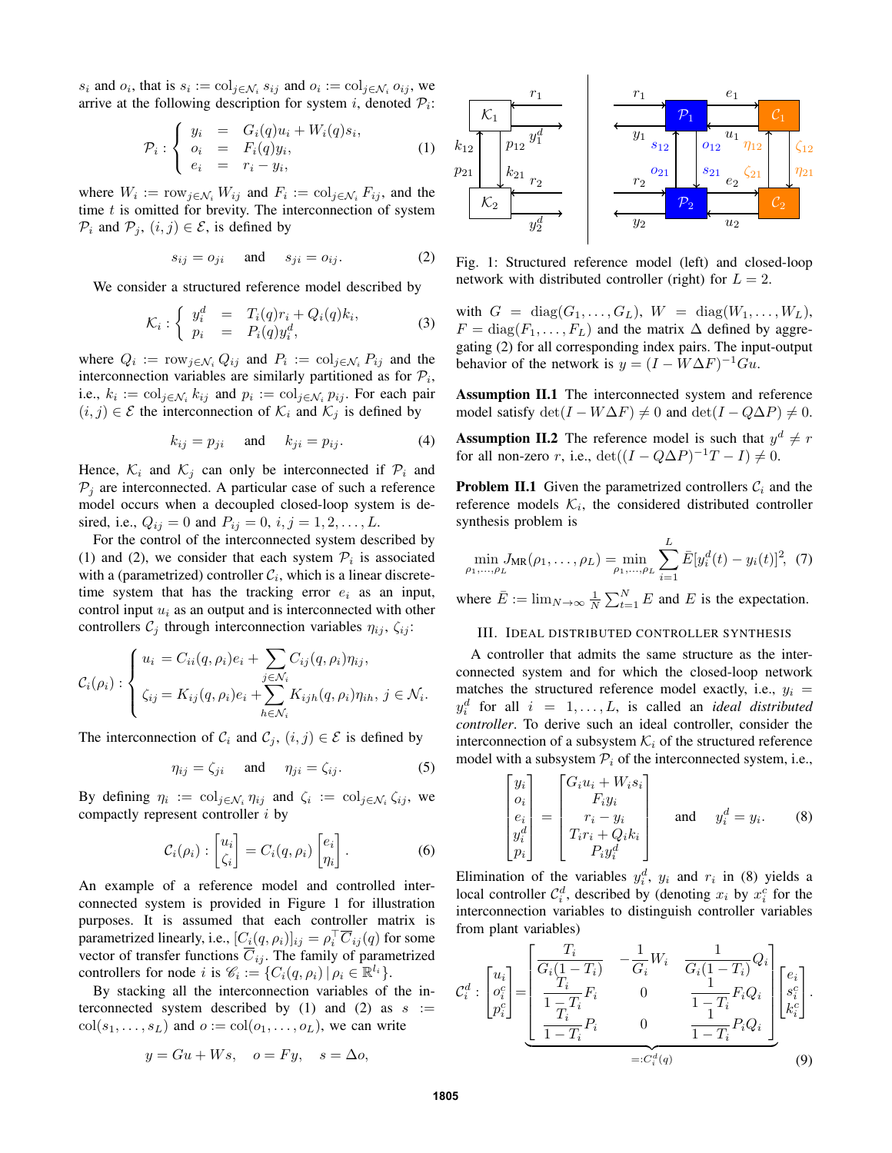$s_i$  and  $o_i$ , that is  $s_i := \text{col}_{j \in \mathcal{N}_i} s_{ij}$  and  $o_i := \text{col}_{j \in \mathcal{N}_i} o_{ij}$ , we arrive at the following description for system *i*, denoted  $P_i$ :

$$
\mathcal{P}_i: \left\{ \begin{array}{rcl} y_i & = & G_i(q)u_i + W_i(q)s_i, \\ o_i & = & F_i(q)y_i, \\ e_i & = & r_i - y_i, \end{array} \right. \tag{1}
$$

where  $W_i := \text{row}_{j \in \mathcal{N}_i} W_{ij}$  and  $F_i := \text{col}_{j \in \mathcal{N}_i} F_{ij}$ , and the time  $t$  is omitted for brevity. The interconnection of system  $\mathcal{P}_i$  and  $\mathcal{P}_j$ ,  $(i, j) \in \mathcal{E}$ , is defined by

$$
s_{ij} = o_{ji} \quad \text{and} \quad s_{ji} = o_{ij}.
$$
 (2)

We consider a structured reference model described by

$$
\mathcal{K}_i: \left\{ \begin{array}{rcl} y_i^d & = & T_i(q)r_i + Q_i(q)k_i, \\ p_i & = & P_i(q)y_i^d, \end{array} \right. \tag{3}
$$

where  $Q_i := \text{row}_{j \in \mathcal{N}_i} Q_{ij}$  and  $P_i := \text{col}_{j \in \mathcal{N}_i} P_{ij}$  and the interconnection variables are similarly partitioned as for  $\mathcal{P}_i$ , i.e.,  $k_i := \text{col}_{j \in \mathcal{N}_i} k_{ij}$  and  $p_i := \text{col}_{j \in \mathcal{N}_i} p_{ij}$ . For each pair  $(i, j) \in \mathcal{E}$  the interconnection of  $\mathcal{K}_i$  and  $\mathcal{K}_j$  is defined by

$$
k_{ij} = p_{ji} \quad \text{and} \quad k_{ji} = p_{ij}.
$$
 (4)

Hence,  $\mathcal{K}_i$  and  $\mathcal{K}_j$  can only be interconnected if  $\mathcal{P}_i$  and  $P_j$  are interconnected. A particular case of such a reference model occurs when a decoupled closed-loop system is desired, i.e.,  $Q_{ij} = 0$  and  $P_{ij} = 0$ ,  $i, j = 1, 2, ..., L$ .

For the control of the interconnected system described by (1) and (2), we consider that each system  $P_i$  is associated with a (parametrized) controller  $C_i$ , which is a linear discretetime system that has the tracking error  $e_i$  as an input, control input  $u_i$  as an output and is interconnected with other controllers  $\mathcal{C}_j$  through interconnection variables  $\eta_{ij}$ ,  $\zeta_{ij}$ :

$$
\mathcal{C}_i(\rho_i) : \begin{cases} u_i = C_{ii}(q, \rho_i)e_i + \sum_{j \in \mathcal{N}_i} C_{ij}(q, \rho_i)\eta_{ij}, \\ \zeta_{ij} = K_{ij}(q, \rho_i)e_i + \sum_{h \in \mathcal{N}_i} K_{ijh}(q, \rho_i)\eta_{ih}, \ j \in \mathcal{N}_i. \end{cases}
$$

The interconnection of  $C_i$  and  $C_j$ ,  $(i, j) \in \mathcal{E}$  is defined by

$$
\eta_{ij} = \zeta_{ji} \quad \text{and} \quad \eta_{ji} = \zeta_{ij}.
$$
 (5)

By defining  $\eta_i := \text{col}_{j \in \mathcal{N}_i} \eta_{ij}$  and  $\zeta_i := \text{col}_{j \in \mathcal{N}_i} \zeta_{ij}$ , we compactly represent controller i by

$$
\mathcal{C}_i(\rho_i) : \begin{bmatrix} u_i \\ \zeta_i \end{bmatrix} = C_i(q, \rho_i) \begin{bmatrix} e_i \\ \eta_i \end{bmatrix}.
$$
 (6)

An example of a reference model and controlled interconnected system is provided in Figure 1 for illustration purposes. It is assumed that each controller matrix is parametrized linearly, i.e.,  $[C_i(q, \rho_i)]_{ij} = \rho_i^{\top} \overline{C}_{ij}(q)$  for some vector of transfer functions  $\overline{C}_{ij}$ . The family of parametrized controllers for node *i* is  $\mathcal{C}_i := \{ C_i(q, \rho_i) \mid \rho_i \in \mathbb{R}^{l_i} \}.$ 

By stacking all the interconnection variables of the interconnected system described by (1) and (2) as  $s :=$  $col(s_1, \ldots, s_L)$  and  $o := col(o_1, \ldots, o_L)$ , we can write

$$
y = Gu + Ws, \quad o = Fy, \quad s = \Delta o,
$$



Fig. 1: Structured reference model (left) and closed-loop network with distributed controller (right) for  $L = 2$ .

with  $G = \text{diag}(G_1, \ldots, G_L)$ ,  $W = \text{diag}(W_1, \ldots, W_L)$ ,  $F = diag(F_1, \ldots, F_L)$  and the matrix  $\Delta$  defined by aggregating (2) for all corresponding index pairs. The input-output behavior of the network is  $y = (I - W\Delta F)^{-1}Gu$ .

Assumption II.1 The interconnected system and reference model satisfy  $\det(I - W\Delta F) \neq 0$  and  $\det(I - Q\Delta P) \neq 0$ .

**Assumption II.2** The reference model is such that  $y^d \neq r$ for all non-zero r, i.e.,  $\det((I - Q\Delta P)^{-1}T - I) \neq 0$ .

**Problem II.1** Given the parametrized controllers  $C_i$  and the reference models  $\mathcal{K}_i$ , the considered distributed controller synthesis problem is

$$
\min_{\rho_1,\dots,\rho_L} J_{\text{MR}}(\rho_1,\dots,\rho_L) = \min_{\rho_1,\dots,\rho_L} \sum_{i=1}^L \bar{E}[y_i^d(t) - y_i(t)]^2, \tag{7}
$$

where  $\bar{E} := \lim_{N \to \infty} \frac{1}{N} \sum_{t=1}^{N} E$  and E is the expectation.

## III. IDEAL DISTRIBUTED CONTROLLER SYNTHESIS

A controller that admits the same structure as the interconnected system and for which the closed-loop network matches the structured reference model exactly, i.e.,  $y_i$  =  $y_i^d$  for all  $i = 1, ..., L$ , is called an *ideal distributed controller*. To derive such an ideal controller, consider the interconnection of a subsystem  $\mathcal{K}_i$  of the structured reference model with a subsystem  $P_i$  of the interconnected system, i.e.,

$$
\begin{bmatrix} y_i \\ o_i \\ e_i \\ y_i^d \end{bmatrix} = \begin{bmatrix} G_i u_i + W_i s_i \\ F_i y_i \\ r_i - y_i \\ T_i r_i + Q_i k_i \\ P_i y_i^d \end{bmatrix} \quad \text{and} \quad y_i^d = y_i. \quad (8)
$$

Elimination of the variables  $y_i^d$ ,  $y_i$  and  $r_i$  in (8) yields a local controller  $C_i^d$ , described by (denoting  $x_i$  by  $x_i^c$  for the interconnection variables to distinguish controller variables from plant variables)

$$
\mathcal{C}_{i}^{d} : \begin{bmatrix} u_{i} \\ o_{i}^{c} \\ p_{i}^{c} \end{bmatrix} = \underbrace{\begin{bmatrix} T_{i} & -\frac{1}{G_{i}} W_{i} & \frac{1}{G_{i}(1-T_{i})} Q_{i} \\ \frac{T_{i}}{1-T_{i}} F_{i} & 0 & \frac{1}{1-T_{i}} F_{i} Q_{i} \\ \frac{T_{i}}{1-T_{i}} P_{i} & 0 & \frac{1}{1-T_{i}} P_{i} Q_{i} \end{bmatrix}}_{=:C_{i}^{d}(q)} \begin{bmatrix} e_{i} \\ s_{i}^{c} \\ k_{i}^{c} \end{bmatrix}.
$$
\n(9)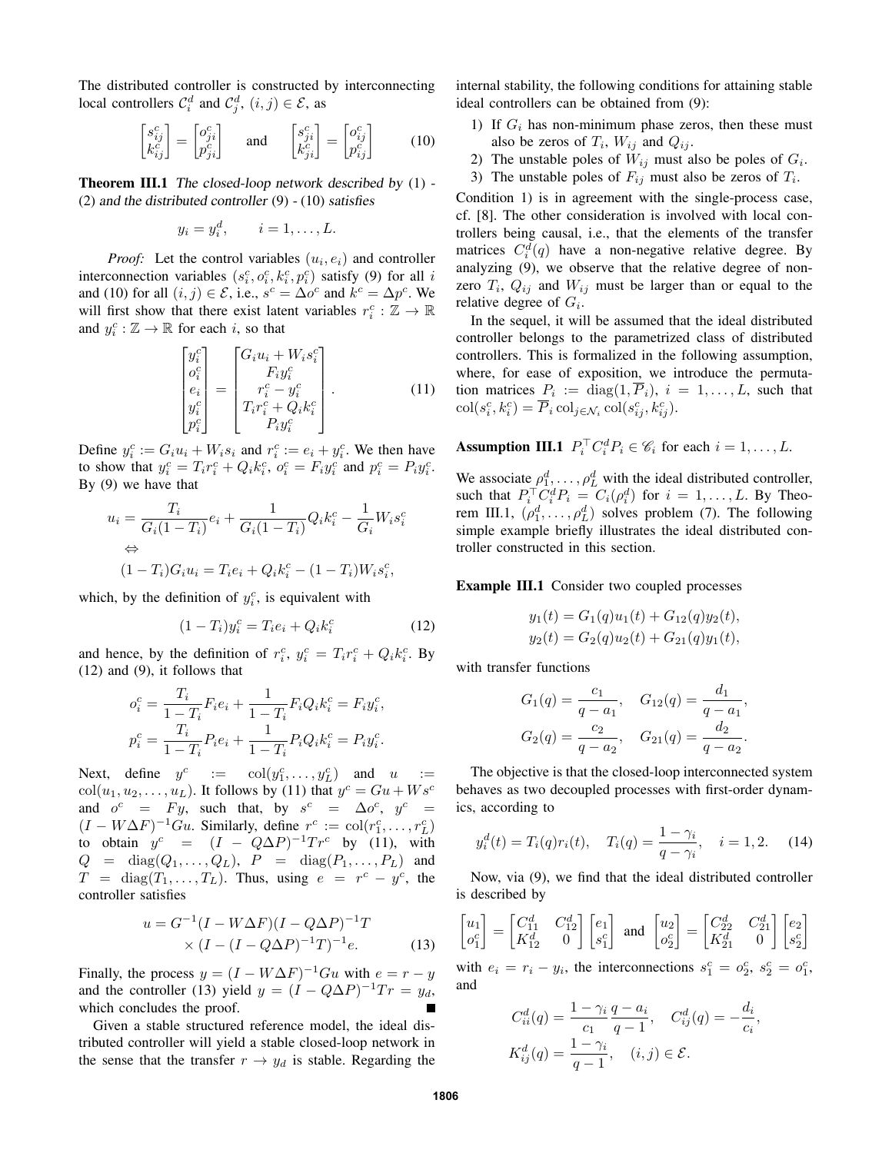The distributed controller is constructed by interconnecting local controllers  $C_i^d$  and  $C_j^d$ ,  $(i, j) \in \mathcal{E}$ , as

$$
\begin{bmatrix} s_{ij}^c \\ k_{ij}^c \end{bmatrix} = \begin{bmatrix} o_{ji}^c \\ p_{ji}^c \end{bmatrix} \quad \text{and} \quad \begin{bmatrix} s_{ji}^c \\ k_{ji}^c \end{bmatrix} = \begin{bmatrix} o_{ij}^c \\ p_{ij}^c \end{bmatrix} \tag{10}
$$

Theorem III.1 The closed-loop network described by (1) - (2) and the distributed controller  $(9) - (10)$  satisfies

$$
y_i = y_i^d, \qquad i = 1, \dots, L.
$$

*Proof:* Let the control variables  $(u_i, e_i)$  and controller interconnection variables  $(s_i^c, o_i^c, k_i^c, p_i^c)$  satisfy (9) for all i and (10) for all  $(i, j) \in \mathcal{E}$ , i.e.,  $s^c = \Delta o^c$  and  $k^c = \Delta p^c$ . We will first show that there exist latent variables  $r_i^c : \mathbb{Z} \to \mathbb{R}$ and  $y_i^c : \mathbb{Z} \to \mathbb{R}$  for each *i*, so that

$$
\begin{bmatrix} y_i^c \\ o_i^c \\ e_i \\ y_i^c \\ p_i^c \end{bmatrix} = \begin{bmatrix} G_i u_i + W_i s_i^c \\ F_i y_i^c \\ r_i^c - y_i^c \\ T_i r_i^c + Q_i k_i^c \\ P_i y_i^c \end{bmatrix} . \tag{11}
$$

Define  $y_i^c := G_i u_i + W_i s_i$  and  $r_i^c := e_i + y_i^c$ . We then have to show that  $y_i^c = T_i r_i^c + Q_i k_i^c$ ,  $o_i^c = F_i y_i^c$  and  $p_i^c = P_i y_i^c$ . By (9) we have that

$$
u_i = \frac{T_i}{G_i(1 - T_i)} e_i + \frac{1}{G_i(1 - T_i)} Q_i k_i^c - \frac{1}{G_i} W_i s_i^c
$$
  
\n
$$
\Leftrightarrow (1 - T_i) G_i u_i = T_i e_i + Q_i k_i^c - (1 - T_i) W_i s_i^c,
$$

which, by the definition of  $y_i^c$ , is equivalent with

$$
(1 - T_i)y_i^c = T_i e_i + Q_i k_i^c
$$
 (12)

and hence, by the definition of  $r_i^c$ ,  $y_i^c = T_i r_i^c + Q_i k_i^c$ . By (12) and (9), it follows that

$$
o_i^c = \frac{T_i}{1 - T_i} F_i e_i + \frac{1}{1 - T_i} F_i Q_i k_i^c = F_i y_i^c,
$$
  

$$
p_i^c = \frac{T_i}{1 - T_i} P_i e_i + \frac{1}{1 - T_i} P_i Q_i k_i^c = P_i y_i^c.
$$

Next, define  $y^c$  :=  $col(y_1^c, ..., y_L^c)$  and  $u$  :=  $col(u_1, u_2, \dots, u_L)$ . It follows by (11) that  $y^c = Gu + Ws^c$ and  $o^c = Fy$ , such that, by  $s^c = \Delta o^c$ ,  $y^c =$  $(I - W\Delta F)^{-1}Gu$ . Similarly, define  $r^c := col(r_1^c, \dots, r_L^c)$ to obtain  $y^c = (I - Q\Delta P)^{-1}Tr^c$  by (11), with  $Q = \text{diag}(Q_1, \ldots, Q_L), \quad P = \text{diag}(P_1, \ldots, P_L)$  and  $T = diag(T_1, ..., T_L)$ . Thus, using  $e = r^c - y^c$ , the controller satisfies

$$
u = G^{-1}(I - W\Delta F)(I - Q\Delta P)^{-1}T
$$
  
×  $(I - (I - Q\Delta P)^{-1}T)^{-1}e$ . (13)

Finally, the process  $y = (I - W\Delta F)^{-1}Gu$  with  $e = r - y$ and the controller (13) yield  $y = (I - Q\Delta P)^{-1}Tr = y_d$ , which concludes the proof.

Given a stable structured reference model, the ideal distributed controller will yield a stable closed-loop network in the sense that the transfer  $r \rightarrow y_d$  is stable. Regarding the internal stability, the following conditions for attaining stable ideal controllers can be obtained from (9):

- 1) If  $G_i$  has non-minimum phase zeros, then these must also be zeros of  $T_i$ ,  $W_{ij}$  and  $Q_{ij}$ .
- 2) The unstable poles of  $W_{ij}$  must also be poles of  $G_i$ .
- 3) The unstable poles of  $F_{ij}$  must also be zeros of  $T_i$ .

Condition 1) is in agreement with the single-process case, cf. [8]. The other consideration is involved with local controllers being causal, i.e., that the elements of the transfer matrices  $C_i^d(q)$  have a non-negative relative degree. By analyzing (9), we observe that the relative degree of nonzero  $T_i$ ,  $Q_{ij}$  and  $W_{ij}$  must be larger than or equal to the relative degree of  $G_i$ .

In the sequel, it will be assumed that the ideal distributed controller belongs to the parametrized class of distributed controllers. This is formalized in the following assumption, where, for ease of exposition, we introduce the permutation matrices  $P_i := \text{diag}(1, P_i), i = 1, \dots, L$ , such that  $\text{col}(s_i^c, k_i^c) = \overline{P}_i \,\text{col}_{j \in \mathcal{N}_i} \,\text{col}(s_{ij}^c, k_{ij}^c).$ 

**Assumption III.1**  $P_i^{\top} C_i^d P_i \in \mathscr{C}_i$  for each  $i = 1, ..., L$ .

We associate  $\rho_1^d, \dots, \rho_L^d$  with the ideal distributed controller, such that  $P_i^{\top} C_i^d P_i = C_i(\rho_i^d)$  for  $i = 1, ..., L$ . By Theorem III.1,  $(\rho_1^d, \dots, \rho_L^d)$  solves problem (7). The following simple example briefly illustrates the ideal distributed controller constructed in this section.

#### Example III.1 Consider two coupled processes

$$
y_1(t) = G_1(q)u_1(t) + G_{12}(q)y_2(t),
$$
  

$$
y_2(t) = G_2(q)u_2(t) + G_{21}(q)y_1(t),
$$

with transfer functions

$$
G_1(q) = \frac{c_1}{q - a_1}, \quad G_{12}(q) = \frac{d_1}{q - a_1},
$$
  

$$
G_2(q) = \frac{c_2}{q - a_2}, \quad G_{21}(q) = \frac{d_2}{q - a_2}.
$$

The objective is that the closed-loop interconnected system behaves as two decoupled processes with first-order dynamics, according to

$$
y_i^d(t) = T_i(q)r_i(t), \quad T_i(q) = \frac{1 - \gamma_i}{q - \gamma_i}, \quad i = 1, 2.
$$
 (14)

Now, via (9), we find that the ideal distributed controller is described by

$$
\begin{bmatrix} u_1 \\ o_1^c \end{bmatrix} = \begin{bmatrix} C_{11}^d & C_{12}^d \\ K_{12}^d & 0 \end{bmatrix} \begin{bmatrix} e_1 \\ s_1^c \end{bmatrix} \text{ and } \begin{bmatrix} u_2 \\ o_2^c \end{bmatrix} = \begin{bmatrix} C_{22}^d & C_{21}^d \\ K_{21}^d & 0 \end{bmatrix} \begin{bmatrix} e_2 \\ s_2^c \end{bmatrix}
$$

with  $e_i = r_i - y_i$ , the interconnections  $s_1^c = o_2^c$ ,  $s_2^c = o_1^c$ , and

$$
C_{ii}^{d}(q) = \frac{1 - \gamma_i}{c_1} \frac{q - a_i}{q - 1}, \quad C_{ij}^{d}(q) = -\frac{d_i}{c_i},
$$
  

$$
K_{ij}^{d}(q) = \frac{1 - \gamma_i}{q - 1}, \quad (i, j) \in \mathcal{E}.
$$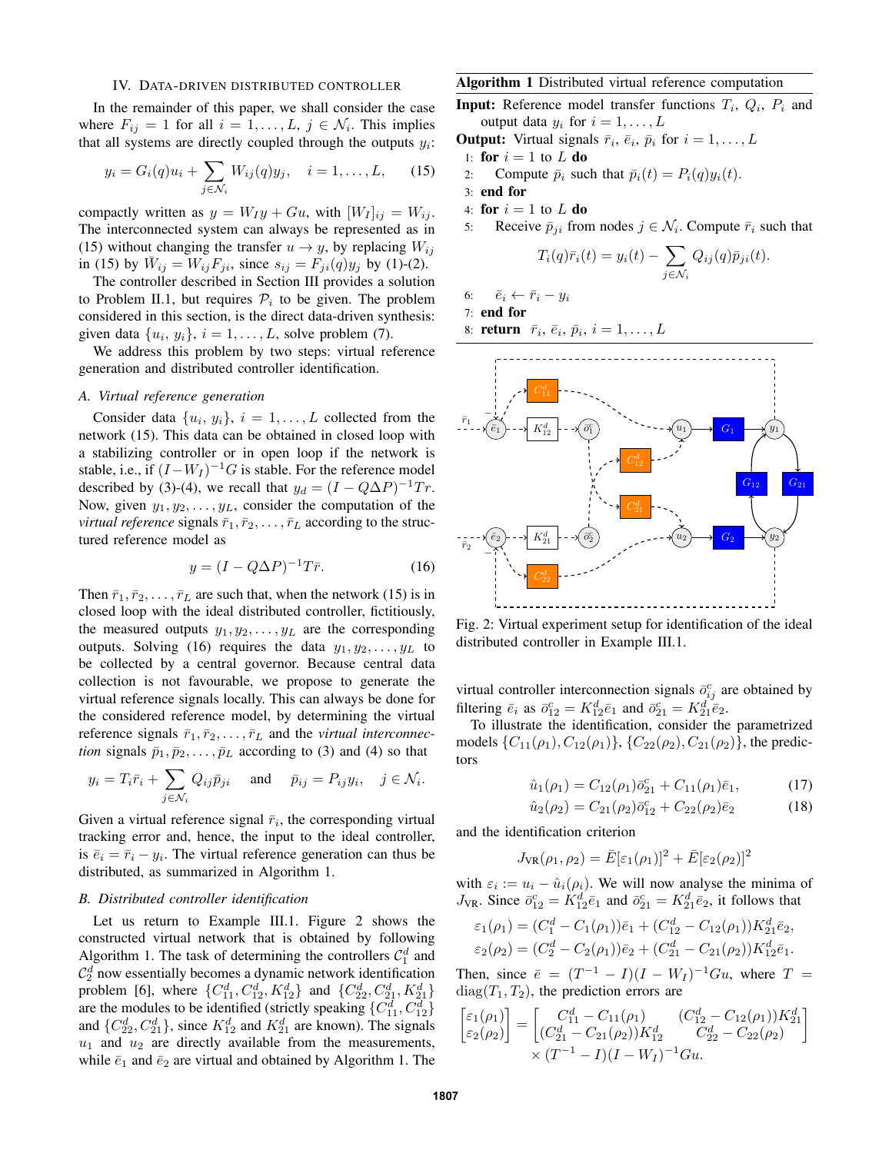## IV. DATA-DRIVEN DISTRIBUTED CONTROLLER

In the remainder of this paper, we shall consider the case where  $F_{ij} = 1$  for all  $i = 1, ..., L$ ,  $j \in \mathcal{N}_i$ . This implies that all systems are directly coupled through the outputs  $y_i$ :

$$
y_i = G_i(q)u_i + \sum_{j \in \mathcal{N}_i} W_{ij}(q)y_j, \quad i = 1, ..., L,
$$
 (15)

compactly written as  $y = W_I y + G u$ , with  $[W_I]_{ij} = W_{ij}$ . The interconnected system can always be represented as in (15) without changing the transfer  $u \rightarrow y$ , by replacing  $W_{ij}$ in (15) by  $\bar{W}_{ij} = W_{ij}F_{ji}$ , since  $s_{ij} = F_{ji}(q)y_j$  by (1)-(2).

The controller described in Section III provides a solution to Problem II.1, but requires  $P_i$  to be given. The problem considered in this section, is the direct data-driven synthesis: given data  $\{u_i, y_i\}, i = 1, \dots, L$ , solve problem (7).

We address this problem by two steps: virtual reference generation and distributed controller identification.

#### *A. Virtual reference generation*

Consider data  $\{u_i, y_i\}, i = 1, \dots, L$  collected from the network (15). This data can be obtained in closed loop with a stabilizing controller or in open loop if the network is stable, i.e., if  $(I - W_I)^{-1}G$  is stable. For the reference model described by (3)-(4), we recall that  $y_d = (I - Q\Delta P)^{-1}Tr$ . Now, given  $y_1, y_2, \ldots, y_L$ , consider the computation of the *virtual reference* signals  $\bar{r}_1, \bar{r}_2, \ldots, \bar{r}_L$  according to the structured reference model as

$$
y = (I - Q\Delta P)^{-1}T\bar{r}.
$$
 (16)

Then  $\bar{r}_1, \bar{r}_2, \ldots, \bar{r}_L$  are such that, when the network (15) is in closed loop with the ideal distributed controller, fictitiously, the measured outputs  $y_1, y_2, \ldots, y_L$  are the corresponding outputs. Solving (16) requires the data  $y_1, y_2, \ldots, y_L$  to be collected by a central governor. Because central data collection is not favourable, we propose to generate the virtual reference signals locally. This can always be done for the considered reference model, by determining the virtual reference signals  $\bar{r}_1, \bar{r}_2, \ldots, \bar{r}_L$  and the *virtual interconnection* signals  $\bar{p}_1, \bar{p}_2, \dots, \bar{p}_L$  according to (3) and (4) so that

$$
y_i = T_i \overline{r}_i + \sum_{j \in \mathcal{N}_i} Q_{ij} \overline{p}_{ji}
$$
 and  $\overline{p}_{ij} = P_{ij} y_i$ ,  $j \in \mathcal{N}_i$ .

Given a virtual reference signal  $\bar{r}_i$ , the corresponding virtual tracking error and, hence, the input to the ideal controller, is  $\overline{e}_i = \overline{r}_i - y_i$ . The virtual reference generation can thus be distributed, as summarized in Algorithm 1.

## *B. Distributed controller identification*

Let us return to Example III.1. Figure 2 shows the constructed virtual network that is obtained by following Algorithm 1. The task of determining the controllers  $C_1^d$  and  $\mathcal{C}_2^d$  now essentially becomes a dynamic network identification problem [6], where  $\{C_{11}^d, C_{12}^d, K_{12}^d\}$  and  $\{C_{22}^d, C_{21}^d, K_{21}^d\}$ are the modules to be identified (strictly speaking  $\{C_{11}^d, C_{12}^d\}$ ) and  $\{C_{22}^d, C_{21}^d\}$ , since  $K_{12}^d$  and  $K_{21}^d$  are known). The signals  $u_1$  and  $u_2$  are directly available from the measurements, while  $\bar{e}_1$  and  $\bar{e}_2$  are virtual and obtained by Algorithm 1. The

#### Algorithm 1 Distributed virtual reference computation

**Input:** Reference model transfer functions  $T_i$ ,  $Q_i$ ,  $P_i$  and output data  $y_i$  for  $i = 1, \ldots, L$ 

- **Output:** Virtual signals  $\bar{r}_i$ ,  $\bar{e}_i$ ,  $\bar{p}_i$  for  $i = 1, \ldots, L$
- 1: for  $i = 1$  to L do
- 2: Compute  $\bar{p}_i$  such that  $\bar{p}_i(t) = P_i(q)y_i(t)$ .
- 3: end for
- 4: for  $i = 1$  to L do
- 5: Receive  $\bar{p}_{ji}$  from nodes  $j \in \mathcal{N}_i$ . Compute  $\bar{r}_i$  such that

$$
T_i(q)\bar{r}_i(t) = y_i(t) - \sum_{j \in \mathcal{N}_i} Q_{ij}(q)\bar{p}_{ji}(t).
$$

- 6:  $\bar{e}_i \leftarrow \bar{r}_i y_i$
- 7: end for

8: return 
$$
\bar{r}_i
$$
,  $\bar{e}_i$ ,  $\bar{p}_i$ ,  $i = 1, \ldots, L$ 



Fig. 2: Virtual experiment setup for identification of the ideal distributed controller in Example III.1.

virtual controller interconnection signals  $\bar{o}^c_{ij}$  are obtained by filtering  $\bar{e}_i$  as  $\bar{o}_{12}^c = K_{12}^d \bar{e}_1$  and  $\bar{o}_{21}^c = K_{21}^d \bar{e}_2$ .

To illustrate the identification, consider the parametrized models  $\{C_{11}(\rho_1), C_{12}(\rho_1)\}, \{C_{22}(\rho_2), C_{21}(\rho_2)\},$  the predictors

$$
\hat{u}_1(\rho_1) = C_{12}(\rho_1)\bar{o}_{21}^c + C_{11}(\rho_1)\bar{e}_1, \tag{17}
$$

$$
\hat{u}_2(\rho_2) = C_{21}(\rho_2)\bar{o}_{12}^c + C_{22}(\rho_2)\bar{e}_2 \tag{18}
$$

and the identification criterion

$$
J_{\text{VR}}(\rho_1, \rho_2) = \bar{E}[\varepsilon_1(\rho_1)]^2 + \bar{E}[\varepsilon_2(\rho_2)]^2
$$

with  $\varepsilon_i := u_i - \hat{u}_i(\rho_i)$ . We will now analyse the minima of  $J_{\text{VR}}$ . Since  $\bar{o}_{12}^c = K_{12}^d \bar{e}_1$  and  $\bar{o}_{21}^c = K_{21}^d \bar{e}_2$ , it follows that

$$
\varepsilon_1(\rho_1) = (C_1^d - C_1(\rho_1))\bar{e}_1 + (C_{12}^d - C_{12}(\rho_1))K_{21}^d \bar{e}_2,
$$
  
\n
$$
\varepsilon_2(\rho_2) = (C_2^d - C_2(\rho_1))\bar{e}_2 + (C_{21}^d - C_{21}(\rho_2))K_{12}^d \bar{e}_1.
$$

Then, since  $\bar{e} = (T^{-1} - I)(I - W_I)^{-1}Gu$ , where  $T =$  $diag(T_1, T_2)$ , the prediction errors are

$$
\begin{bmatrix} \varepsilon_1(\rho_1) \\ \varepsilon_2(\rho_2) \end{bmatrix} = \begin{bmatrix} C_{11}^d - C_{11}(\rho_1) & (C_{12}^d - C_{12}(\rho_1))K_{21}^d \\ (C_{21}^d - C_{21}(\rho_2))K_{12}^d & C_{22}^d - C_{22}(\rho_2) \end{bmatrix} \times (T^{-1} - I)(I - W_I)^{-1}Gu.
$$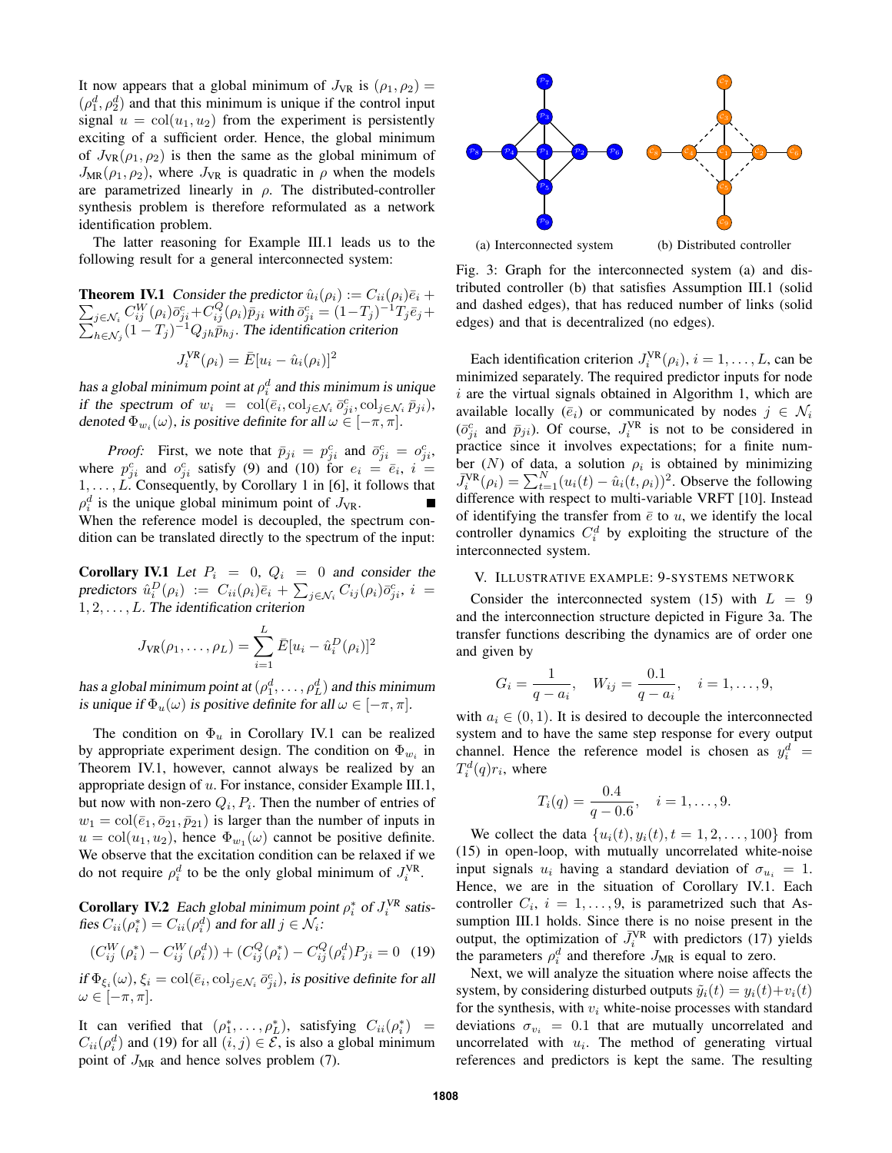It now appears that a global minimum of  $J_{VR}$  is  $(\rho_1, \rho_2)$  =  $(\rho_1^d, \rho_2^d)$  and that this minimum is unique if the control input signal  $u = col(u_1, u_2)$  from the experiment is persistently exciting of a sufficient order. Hence, the global minimum of  $J_{VR}(\rho_1, \rho_2)$  is then the same as the global minimum of  $J_{MR}(\rho_1, \rho_2)$ , where  $J_{VR}$  is quadratic in  $\rho$  when the models are parametrized linearly in  $\rho$ . The distributed-controller synthesis problem is therefore reformulated as a network identification problem.

The latter reasoning for Example III.1 leads us to the following result for a general interconnected system:

 $\sum_{j\in\mathcal{N}_i}C_{ij}^{W}(\rho_i)\bar{o}_{ji}^c+C_{ij}^{Q}(\rho_i)\bar{p}_{ji}$  with  $\bar{o}_{ji}^c=(1-T_j)^{-1}$ **Theorem IV.1** Consider the predictor  $\hat{u}_i(\rho_i) := C_{ii}(\rho_i)\overline{e}_i +$  $\sum$  $T_j\bar e_j+$  $\sum_{h \in \mathcal{N}_j} (1 - T_j)^{-1} Q_{jh} \bar{\bar{p}}_{hj}$ . The identification criterion VR

$$
J_i^{VR}(\rho_i) = \bar{E}[u_i - \hat{u}_i(\rho_i)]^2
$$

has a global minimum point at  $\rho_i^d$  and this minimum is unique if the spectrum of  $w_i = \text{col}(\bar{e}_i, \text{col}_{j \in \mathcal{N}_i} \bar{o}_{ji}^c, \text{col}_{j \in \mathcal{N}_i} \bar{p}_{ji}),$ denoted  $\Phi_{w_i}(\omega)$ , is positive definite for all  $\omega \in [-\pi, \pi]$ .

*Proof:* First, we note that  $\bar{p}_{ji} = p_{ji}^c$  and  $\bar{o}_{ji}^c = o_{ji}^c$ , where  $p_{ji}^c$  and  $o_{ji}^c$  satisfy (9) and (10) for  $e_i = \overline{e}_i$ ,  $i =$  $1, \ldots, L$ . Consequently, by Corollary 1 in [6], it follows that  $\rho_i^d$  is the unique global minimum point of  $J_{\text{VR}}$ . When the reference model is decoupled, the spectrum condition can be translated directly to the spectrum of the input:

**Corollary IV.1** Let  $P_i = 0$ ,  $Q_i = 0$  and consider the predictors  $\hat{u}^D_i(\rho_i)$  :=  $C_{ii}(\rho_i)\bar{e}_i + \sum_{j\in\mathcal{N}_i}C_{ij}(\rho_i)\bar{o}^c_{ji}, i=$  $1, 2, \ldots, L$ . The identification criterion

$$
J_{\text{VR}}(\rho_1, ..., \rho_L) = \sum_{i=1}^{L} \bar{E}[u_i - \hat{u}_i^D(\rho_i)]^2
$$

has a global minimum point at  $(\rho_1^d, \ldots, \rho_L^d)$  and this minimum is unique if  $\Phi_u(\omega)$  is positive definite for all  $\omega \in [-\pi, \pi]$ .

The condition on  $\Phi_u$  in Corollary IV.1 can be realized by appropriate experiment design. The condition on  $\Phi_{w_i}$  in Theorem IV.1, however, cannot always be realized by an appropriate design of u. For instance, consider Example III.1, but now with non-zero  $Q_i, P_i$ . Then the number of entries of  $w_1 = \text{col}(\bar{e}_1, \bar{o}_{21}, \bar{p}_{21})$  is larger than the number of inputs in  $u = col(u_1, u_2)$ , hence  $\Phi_{w_1}(\omega)$  cannot be positive definite. We observe that the excitation condition can be relaxed if we do not require  $\rho_i^d$  to be the only global minimum of  $J_i^{VR}$ . *C*  $\int d\phi_{\mathbf{x}}(p, \rho_2)$  is then the same as the global minimum of  $\mathbf{u}$  and the same solven in the same solven in the same solven in the same solven in the same solven in the based of a problem (7). The distributed

**Corollary IV.2** Each global minimum point  $\rho_i^*$  of  $J_i^{VR}$  satisfies  $C_{ii}(\rho_i^*) = C_{ii}(\rho_i^d)$  and for all  $j \in \mathcal{N}_i$ :

$$
(C_{ij}^{W}(\rho_i^*) - C_{ij}^{W}(\rho_i^d)) + (C_{ij}^{Q}(\rho_i^*) - C_{ij}^{Q}(\rho_i^d)P_{ji} = 0
$$
 (19)

if  $\Phi_{\xi_i}(\omega)$ ,  $\xi_i = \text{col}(\bar{e}_i, \text{col}_{j \in \mathcal{N}_i} \bar{o}_{ji}^c)$ , is positive definite for all  $\omega \in [-\pi, \pi]$ .

It can verified that  $(\rho_1^*, \ldots, \rho_L^*)$ , satisfying  $C_{ii}(\rho_i^*)$  =  $C_{ii}(\rho_i^d)$  and (19) for all  $(i, j) \in \mathcal{E}$ , is also a global minimum



(a) Interconnected system

(b) Distributed controller

Fig. 3: Graph for the interconnected system (a) and distributed controller (b) that satisfies Assumption III.1 (solid and dashed edges), that has reduced number of links (solid edges) and that is decentralized (no edges).

Each identification criterion  $J_i^{\text{VR}}(\rho_i)$ ,  $i = 1, \dots, L$ , can be minimized separately. The required predictor inputs for node  $i$  are the virtual signals obtained in Algorithm 1, which are available locally  $(\bar{e}_i)$  or communicated by nodes  $j \in \mathcal{N}_i$  $(\bar{o}_{ji}^c$  and  $\bar{p}_{ji})$ . Of course,  $J_i^{VR}$  is not to be considered in practice since it involves expectations; for a finite number  $(N)$  of data, a solution  $\rho_i$  is obtained by minimizing  $\bar{J}_i^{\text{VR}}(\rho_i) = \sum_{t=1}^{N} (u_i(t) - \hat{u}_i(t, \rho_i))^2$ . Observe the following difference with respect to multi-variable VRFT [10]. Instead of identifying the transfer from  $\bar{e}$  to u, we identify the local controller dynamics  $C_i^d$  by exploiting the structure of the interconnected system.

## V. ILLUSTRATIVE EXAMPLE: 9-SYSTEMS NETWORK

Consider the interconnected system (15) with  $L = 9$ and the interconnection structure depicted in Figure 3a. The transfer functions describing the dynamics are of order one and given by

$$
G_i = \frac{1}{q - a_i}, \quad W_{ij} = \frac{0.1}{q - a_i}, \quad i = 1, \dots, 9,
$$

with  $a_i \in (0, 1)$ . It is desired to decouple the interconnected system and to have the same step response for every output channel. Hence the reference model is chosen as  $y_i^d$  =  $T_i^d(q)r_i$ , where

$$
T_i(q) = \frac{0.4}{q - 0.6}, \quad i = 1, \dots, 9.
$$

We collect the data  $\{u_i(t), y_i(t), t = 1, 2, \ldots, 100\}$  from (15) in open-loop, with mutually uncorrelated white-noise input signals  $u_i$  having a standard deviation of  $\sigma_{u_i} = 1$ . Hence, we are in the situation of Corollary IV.1. Each controller  $C_i$ ,  $i = 1, \ldots, 9$ , is parametrized such that Assumption III.1 holds. Since there is no noise present in the output, the optimization of  $\bar{J}_i^{VR}$  with predictors (17) yields the parameters  $\rho_i^d$  and therefore  $J_{MR}$  is equal to zero.

Next, we will analyze the situation where noise affects the system, by considering disturbed outputs  $\tilde{y}_i(t) = y_i(t) + v_i(t)$ for the synthesis, with  $v_i$  white-noise processes with standard deviations  $\sigma_{v_i} = 0.1$  that are mutually uncorrelated and uncorrelated with  $u_i$ . The method of generating virtual references and predictors is kept the same. The resulting